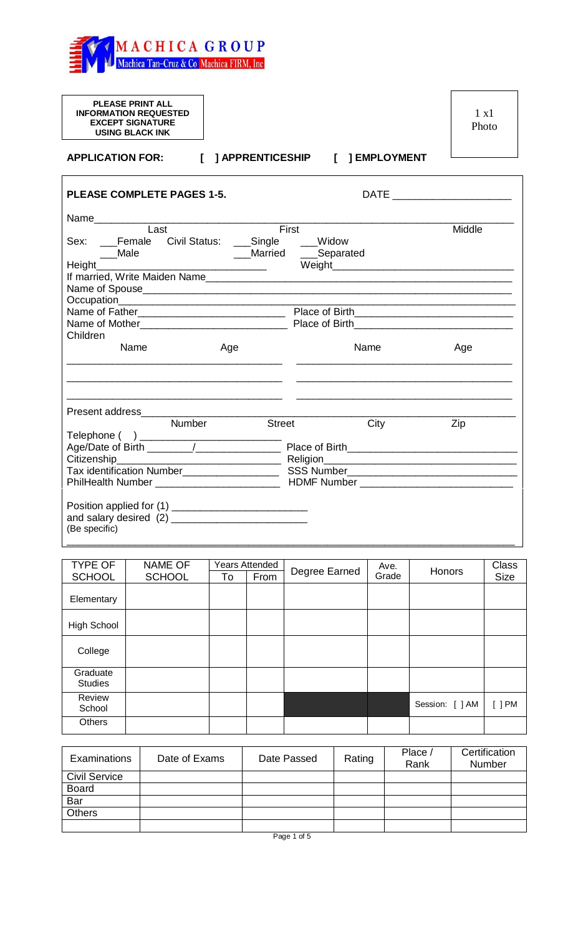

| <b>PLEASE PRINT ALL</b><br><b>INFORMATION REQUESTED</b><br><b>EXCEPT SIGNATURE</b><br><b>USING BLACK INK</b> | $1 \times 1$<br>Photo |
|--------------------------------------------------------------------------------------------------------------|-----------------------|
| [ ] APPRENTICESHIP [ ] EMPLOYMENT<br><b>APPLICATION FOR:</b>                                                 |                       |
| <b>PLEASE COMPLETE PAGES 1-5.</b>                                                                            |                       |
| Last<br>First<br>Sex: __Female Civil Status: __Single ___Widow<br>Weight                                     | Middle                |
| Children                                                                                                     |                       |
| Name<br>Name<br>Age                                                                                          | Age                   |
| Number<br><b>Street</b><br>City                                                                              | Zip                   |
| (Be specific)                                                                                                |                       |

| <b>TYPE OF</b>             | <b>NAME OF</b> |    | <b>Years Attended</b> | Ave.<br>Degree Earned |       | Honors          | Class              |
|----------------------------|----------------|----|-----------------------|-----------------------|-------|-----------------|--------------------|
| <b>SCHOOL</b>              | <b>SCHOOL</b>  | To | From                  |                       | Grade |                 | <b>Size</b>        |
| Elementary                 |                |    |                       |                       |       |                 |                    |
| <b>High School</b>         |                |    |                       |                       |       |                 |                    |
| College                    |                |    |                       |                       |       |                 |                    |
| Graduate<br><b>Studies</b> |                |    |                       |                       |       |                 |                    |
| Review<br>School           |                |    |                       |                       |       | Session: [ ] AM | $\left[\right]$ PM |
| <b>Others</b>              |                |    |                       |                       |       |                 |                    |

| Examinations         | Date of Exams | Date Passed | Rating | Place /<br>Rank | Certification<br>Number |
|----------------------|---------------|-------------|--------|-----------------|-------------------------|
| <b>Civil Service</b> |               |             |        |                 |                         |
| <b>Board</b>         |               |             |        |                 |                         |
| Bar                  |               |             |        |                 |                         |
| <b>Others</b>        |               |             |        |                 |                         |
|                      |               |             |        |                 |                         |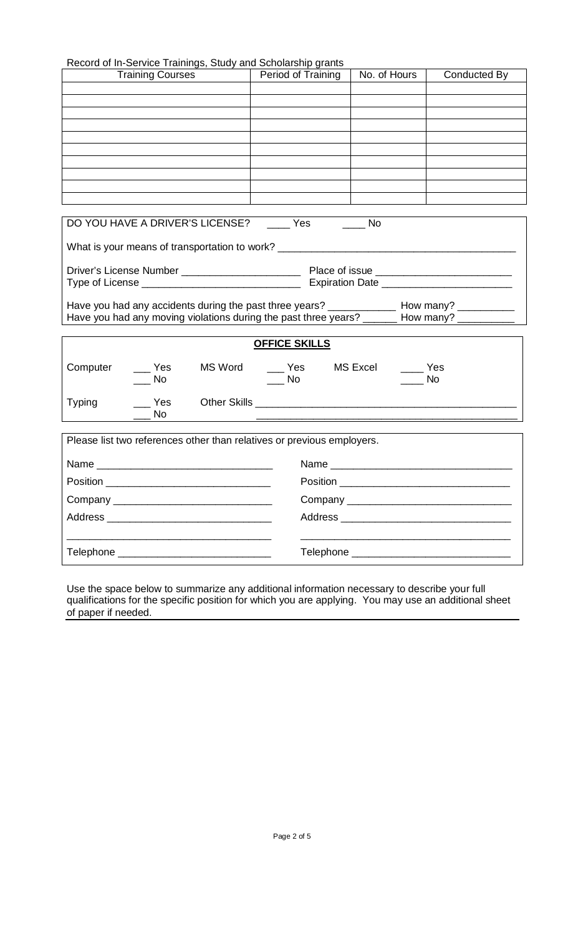| Record of In-Service Trainings, Study and Scholarship grants |  |
|--------------------------------------------------------------|--|
|--------------------------------------------------------------|--|

|               | <b>Training Courses</b>      | Record of in-Service Trainings, Study and Scribiarship grants<br>Period of Training         | No. of Hours | Conducted By                                  |
|---------------|------------------------------|---------------------------------------------------------------------------------------------|--------------|-----------------------------------------------|
|               |                              |                                                                                             |              |                                               |
|               |                              |                                                                                             |              |                                               |
|               |                              |                                                                                             |              |                                               |
|               |                              |                                                                                             |              |                                               |
|               |                              |                                                                                             |              |                                               |
|               |                              |                                                                                             |              |                                               |
|               |                              |                                                                                             |              |                                               |
|               |                              |                                                                                             |              |                                               |
|               |                              |                                                                                             |              |                                               |
|               |                              | DO YOU HAVE A DRIVER'S LICENSE? Yes No                                                      |              |                                               |
|               |                              | What is your means of transportation to work?                                               |              |                                               |
|               |                              |                                                                                             |              |                                               |
|               |                              |                                                                                             |              |                                               |
|               |                              |                                                                                             |              |                                               |
|               |                              |                                                                                             |              |                                               |
|               |                              | Have you had any moving violations during the past three years? ______ How many? __________ |              |                                               |
|               |                              |                                                                                             |              |                                               |
|               |                              | <b>OFFICE SKILLS</b>                                                                        |              |                                               |
| Computer      | $\overline{\phantom{a}}$ Yes | MS Word _____ Yes MS Excel ______ Yes                                                       |              |                                               |
|               | No.                          | <b>No</b>                                                                                   |              | <b>No</b>                                     |
| <b>Typing</b> | Yes                          |                                                                                             |              |                                               |
|               | No                           |                                                                                             |              |                                               |
|               |                              |                                                                                             |              |                                               |
|               |                              | Please list two references other than relatives or previous employers.                      |              |                                               |
|               | Name                         |                                                                                             |              |                                               |
|               |                              |                                                                                             |              |                                               |
|               |                              |                                                                                             |              |                                               |
|               |                              |                                                                                             |              |                                               |
|               |                              |                                                                                             |              |                                               |
|               |                              |                                                                                             |              | Telephone ___________________________________ |
|               |                              |                                                                                             |              |                                               |

Use the space below to summarize any additional information necessary to describe your full qualifications for the specific position for which you are applying. You may use an additional sheet of paper if needed.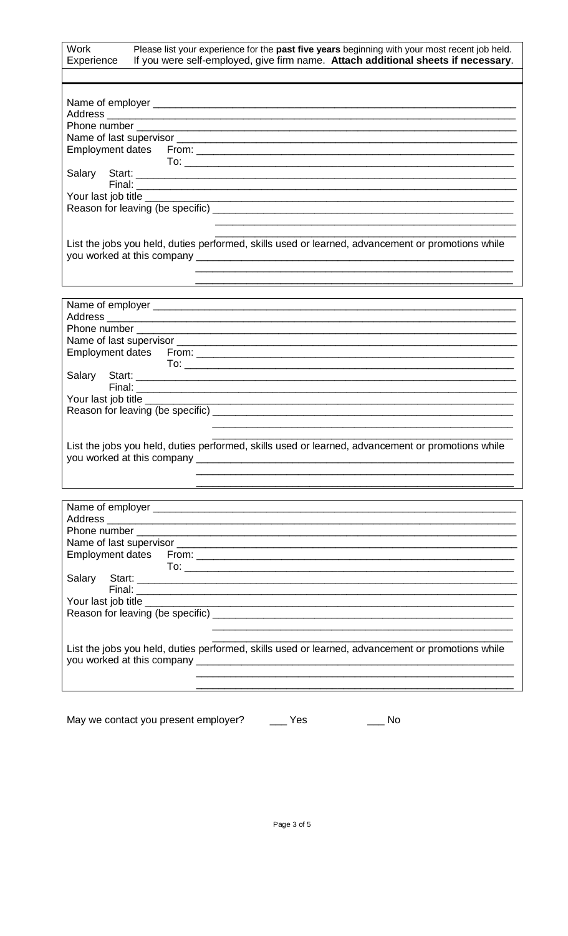| <b>Work</b><br>Please list your experience for the past five years beginning with your most recent job held.<br>If you were self-employed, give firm name. Attach additional sheets if necessary.<br>Experience |
|-----------------------------------------------------------------------------------------------------------------------------------------------------------------------------------------------------------------|
|                                                                                                                                                                                                                 |
| <u> 1989 - Johann Stoff, deutscher Stoff, der Stoff, der Stoff, der Stoff, der Stoff, der Stoff, der Stoff, der S</u>                                                                                           |
| List the jobs you held, duties performed, skills used or learned, advancement or promotions while                                                                                                               |
|                                                                                                                                                                                                                 |
| List the jobs you held, duties performed, skills used or learned, advancement or promotions while                                                                                                               |
| Phone number                                                                                                                                                                                                    |
| List the jobs you held, duties performed, skills used or learned, advancement or promotions while                                                                                                               |

May we contact you present employer? \_\_\_\_\_ Yes \_\_\_\_\_\_\_ No